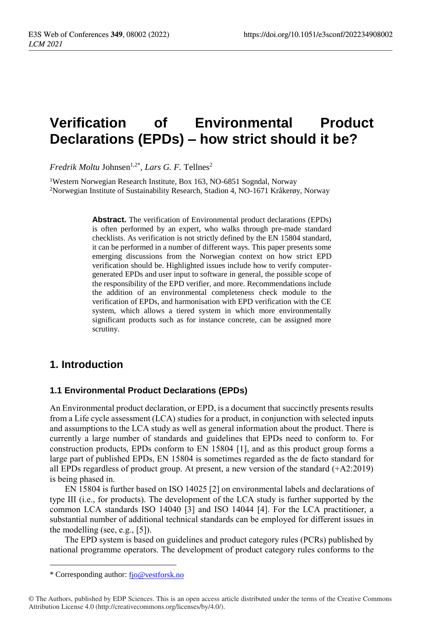# **Verification of Environmental Product Declarations (EPDs) – how strict should it be?**

*Fredrik Moltu Johnsen*<sup>1,2\*</sup>, *Lars G. F.* Tellnes<sup>2</sup>

<sup>1</sup>Western Norwegian Research Institute, Box 163, NO-6851 Sogndal, Norway <sup>2</sup>Norwegian Institute of Sustainability Research, Stadion 4, NO-1671 Kråkerøy, Norway

> **Abstract.** The verification of Environmental product declarations (EPDs) is often performed by an expert, who walks through pre-made standard checklists. As verification is not strictly defined by the EN 15804 standard, it can be performed in a number of different ways. This paper presents some emerging discussions from the Norwegian context on how strict EPD verification should be. Highlighted issues include how to verify computergenerated EPDs and user input to software in general, the possible scope of the responsibility of the EPD verifier, and more. Recommendations include the addition of an environmental completeness check module to the verification of EPDs, and harmonisation with EPD verification with the CE system, which allows a tiered system in which more environmentally significant products such as for instance concrete, can be assigned more scrutiny.

# **1. Introduction**

### **1.1 Environmental Product Declarations (EPDs)**

An Environmental product declaration, or EPD, is a document that succinctly presents results from a Life cycle assessment (LCA) studies for a product, in conjunction with selected inputs and assumptions to the LCA study as well as general information about the product. There is currently a large number of standards and guidelines that EPDs need to conform to. For construction products, EPDs conform to EN 15804 [1], and as this product group forms a large part of published EPDs, EN 15804 is sometimes regarded as the de facto standard for all EPDs regardless of product group. At present, a new version of the standard (+A2:2019) is being phased in.

EN 15804 is further based on ISO 14025 [2] on environmental labels and declarations of type III (i.e., for products). The development of the LCA study is further supported by the common LCA standards ISO 14040 [3] and ISO 14044 [4]. For the LCA practitioner, a substantial number of additional technical standards can be employed for different issues in the modelling (see, e.g., [5]).

The EPD system is based on guidelines and product category rules (PCRs) published by national programme operators. The development of product category rules conforms to the

 $\overline{a}$ 

<sup>\*</sup> Corresponding author: [fjo@vestforsk.no](mailto:fjo@vestforsk.no)

<sup>©</sup> The Authors, published by EDP Sciences. This is an open access article distributed under the terms of the Creative Commons Attribution License 4.0 (http://creativecommons.org/licenses/by/4.0/).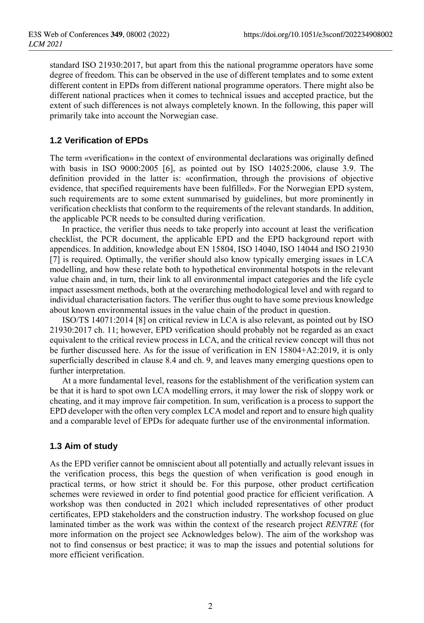standard ISO 21930:2017, but apart from this the national programme operators have some degree of freedom. This can be observed in the use of different templates and to some extent different content in EPDs from different national programme operators. There might also be different national practices when it comes to technical issues and accepted practice, but the extent of such differences is not always completely known. In the following, this paper will primarily take into account the Norwegian case.

### **1.2 Verification of EPDs**

The term «verification» in the context of environmental declarations was originally defined with basis in ISO 9000:2005 [6], as pointed out by ISO 14025:2006, clause 3.9. The definition provided in the latter is: «confirmation, through the provisions of objective evidence, that specified requirements have been fulfilled». For the Norwegian EPD system, such requirements are to some extent summarised by guidelines, but more prominently in verification checklists that conform to the requirements of the relevant standards. In addition, the applicable PCR needs to be consulted during verification.

In practice, the verifier thus needs to take properly into account at least the verification checklist, the PCR document, the applicable EPD and the EPD background report with appendices. In addition, knowledge about EN 15804, ISO 14040, ISO 14044 and ISO 21930 [7] is required. Optimally, the verifier should also know typically emerging issues in LCA modelling, and how these relate both to hypothetical environmental hotspots in the relevant value chain and, in turn, their link to all environmental impact categories and the life cycle impact assessment methods, both at the overarching methodological level and with regard to individual characterisation factors. The verifier thus ought to have some previous knowledge about known environmental issues in the value chain of the product in question.

ISO/TS 14071:2014 [8] on critical review in LCA is also relevant, as pointed out by ISO 21930:2017 ch. 11; however, EPD verification should probably not be regarded as an exact equivalent to the critical review process in LCA, and the critical review concept will thus not be further discussed here. As for the issue of verification in EN 15804+A2:2019, it is only superficially described in clause 8.4 and ch. 9, and leaves many emerging questions open to further interpretation.

At a more fundamental level, reasons for the establishment of the verification system can be that it is hard to spot own LCA modelling errors, it may lower the risk of sloppy work or cheating, and it may improve fair competition. In sum, verification is a process to support the EPD developer with the often very complex LCA model and report and to ensure high quality and a comparable level of EPDs for adequate further use of the environmental information.

### **1.3 Aim of study**

As the EPD verifier cannot be omniscient about all potentially and actually relevant issues in the verification process, this begs the question of when verification is good enough in practical terms, or how strict it should be. For this purpose, other product certification schemes were reviewed in order to find potential good practice for efficient verification. A workshop was then conducted in 2021 which included representatives of other product certificates, EPD stakeholders and the construction industry. The workshop focused on glue laminated timber as the work was within the context of the research project *RENTRE* (for more information on the project see Acknowledges below). The aim of the workshop was not to find consensus or best practice; it was to map the issues and potential solutions for more efficient verification.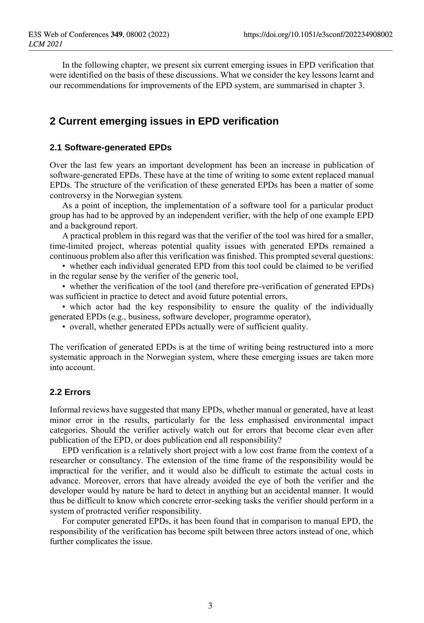In the following chapter, we present six current emerging issues in EPD verification that were identified on the basis of these discussions. What we consider the key lessons learnt and our recommendations for improvements of the EPD system, are summarised in chapter 3.

# **2 Current emerging issues in EPD verification**

#### **2.1 Software-generated EPDs**

Over the last few years an important development has been an increase in publication of software-generated EPDs. These have at the time of writing to some extent replaced manual EPDs. The structure of the verification of these generated EPDs has been a matter of some controversy in the Norwegian system.

As a point of inception, the implementation of a software tool for a particular product group has had to be approved by an independent verifier, with the help of one example EPD and a background report.

A practical problem in this regard was that the verifier of the tool was hired for a smaller, time-limited project, whereas potential quality issues with generated EPDs remained a continuous problem also after this verification was finished. This prompted several questions:

• whether each individual generated EPD from this tool could be claimed to be verified in the regular sense by the verifier of the generic tool,

• whether the verification of the tool (and therefore pre-verification of generated EPDs) was sufficient in practice to detect and avoid future potential errors,

• which actor had the key responsibility to ensure the quality of the individually generated EPDs (e.g., business, software developer, programme operator),

• overall, whether generated EPDs actually were of sufficient quality.

The verification of generated EPDs is at the time of writing being restructured into a more systematic approach in the Norwegian system, where these emerging issues are taken more into account.

#### **2.2 Errors**

Informal reviews have suggested that many EPDs, whether manual or generated, have at least minor error in the results, particularly for the less emphasised environmental impact categories. Should the verifier actively watch out for errors that become clear even after publication of the EPD, or does publication end all responsibility?

EPD verification is a relatively short project with a low cost frame from the context of a researcher or consultancy. The extension of the time frame of the responsibility would be impractical for the verifier, and it would also be difficult to estimate the actual costs in advance. Moreover, errors that have already avoided the eye of both the verifier and the developer would by nature be hard to detect in anything but an accidental manner. It would thus be difficult to know which concrete error-seeking tasks the verifier should perform in a system of protracted verifier responsibility.

For computer generated EPDs, it has been found that in comparison to manual EPD, the responsibility of the verification has become spilt between three actors instead of one, which further complicates the issue.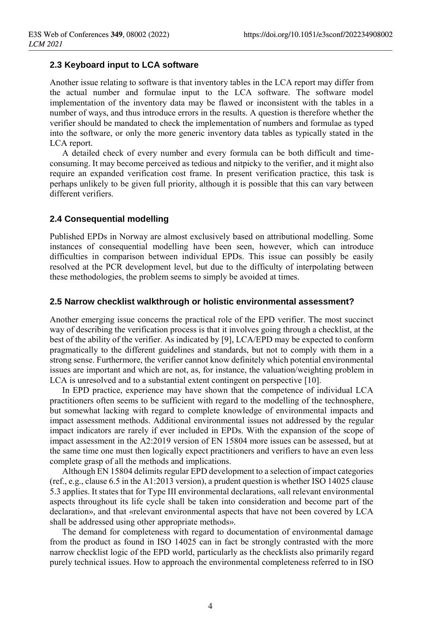### **2.3 Keyboard input to LCA software**

Another issue relating to software is that inventory tables in the LCA report may differ from the actual number and formulae input to the LCA software. The software model implementation of the inventory data may be flawed or inconsistent with the tables in a number of ways, and thus introduce errors in the results. A question is therefore whether the verifier should be mandated to check the implementation of numbers and formulae as typed into the software, or only the more generic inventory data tables as typically stated in the LCA report.

A detailed check of every number and every formula can be both difficult and timeconsuming. It may become perceived as tedious and nitpicky to the verifier, and it might also require an expanded verification cost frame. In present verification practice, this task is perhaps unlikely to be given full priority, although it is possible that this can vary between different verifiers.

#### **2.4 Consequential modelling**

Published EPDs in Norway are almost exclusively based on attributional modelling. Some instances of consequential modelling have been seen, however, which can introduce difficulties in comparison between individual EPDs. This issue can possibly be easily resolved at the PCR development level, but due to the difficulty of interpolating between these methodologies, the problem seems to simply be avoided at times.

#### **2.5 Narrow checklist walkthrough or holistic environmental assessment?**

Another emerging issue concerns the practical role of the EPD verifier. The most succinct way of describing the verification process is that it involves going through a checklist, at the best of the ability of the verifier. As indicated by [9], LCA/EPD may be expected to conform pragmatically to the different guidelines and standards, but not to comply with them in a strong sense. Furthermore, the verifier cannot know definitely which potential environmental issues are important and which are not, as, for instance, the valuation/weighting problem in LCA is unresolved and to a substantial extent contingent on perspective [10].

In EPD practice, experience may have shown that the competence of individual LCA practitioners often seems to be sufficient with regard to the modelling of the technosphere, but somewhat lacking with regard to complete knowledge of environmental impacts and impact assessment methods. Additional environmental issues not addressed by the regular impact indicators are rarely if ever included in EPDs. With the expansion of the scope of impact assessment in the A2:2019 version of EN 15804 more issues can be assessed, but at the same time one must then logically expect practitioners and verifiers to have an even less complete grasp of all the methods and implications.

Although EN 15804 delimits regular EPD development to a selection of impact categories (ref., e.g., clause 6.5 in the A1:2013 version), a prudent question is whether ISO 14025 clause 5.3 applies. It states that for Type III environmental declarations, «all relevant environmental aspects throughout its life cycle shall be taken into consideration and become part of the declaration», and that «relevant environmental aspects that have not been covered by LCA shall be addressed using other appropriate methods».

The demand for completeness with regard to documentation of environmental damage from the product as found in ISO 14025 can in fact be strongly contrasted with the more narrow checklist logic of the EPD world, particularly as the checklists also primarily regard purely technical issues. How to approach the environmental completeness referred to in ISO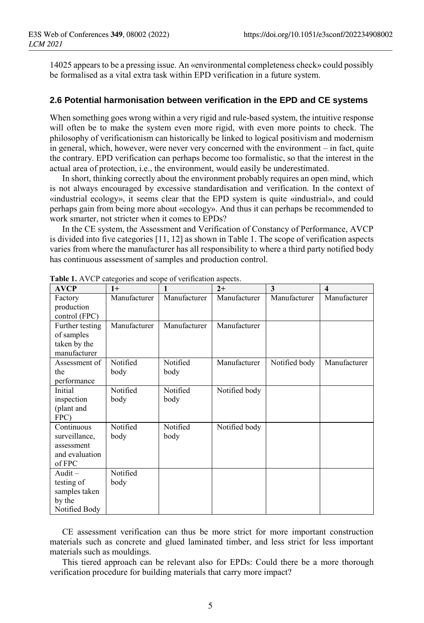14025 appears to be a pressing issue. An «environmental completeness check» could possibly be formalised as a vital extra task within EPD verification in a future system.

#### **2.6 Potential harmonisation between verification in the EPD and CE systems**

When something goes wrong within a very rigid and rule-based system, the intuitive response will often be to make the system even more rigid, with even more points to check. The philosophy of verificationism can historically be linked to logical positivism and modernism in general, which, however, were never very concerned with the environment – in fact, quite the contrary. EPD verification can perhaps become too formalistic, so that the interest in the actual area of protection, i.e., the environment, would easily be underestimated.

In short, thinking correctly about the environment probably requires an open mind, which is not always encouraged by excessive standardisation and verification. In the context of «industrial ecology», it seems clear that the EPD system is quite «industrial», and could perhaps gain from being more about «ecology». And thus it can perhaps be recommended to work smarter, not stricter when it comes to EPDs?

In the CE system, the Assessment and Verification of Constancy of Performance, AVCP is divided into five categories [11, 12] as shown in Table 1. The scope of verification aspects varies from where the manufacturer has all responsibility to where a third party notified body has continuous assessment of samples and production control.

| <b>AVCP</b>              | $1+$         |              | $2+$          | 3             | $\overline{\mathbf{4}}$ |
|--------------------------|--------------|--------------|---------------|---------------|-------------------------|
| Factory                  | Manufacturer | Manufacturer | Manufacturer  | Manufacturer  | Manufacturer            |
| production               |              |              |               |               |                         |
| control (FPC)            |              |              |               |               |                         |
| Further testing          | Manufacturer | Manufacturer | Manufacturer  |               |                         |
| of samples               |              |              |               |               |                         |
| taken by the             |              |              |               |               |                         |
| manufacturer             |              |              |               |               |                         |
| Assessment of            | Notified     | Notified     | Manufacturer  | Notified body | Manufacturer            |
| the                      | body         | body         |               |               |                         |
| performance              |              |              |               |               |                         |
| Initial                  | Notified     | Notified     | Notified body |               |                         |
| inspection               | body         | body         |               |               |                         |
| (plant and               |              |              |               |               |                         |
| FPC)                     |              |              |               |               |                         |
| Continuous               | Notified     | Notified     | Notified body |               |                         |
| surveillance,            | body         | body         |               |               |                         |
| assessment               |              |              |               |               |                         |
| and evaluation<br>of FPC |              |              |               |               |                         |
| Audit $-$                | Notified     |              |               |               |                         |
|                          |              |              |               |               |                         |
| testing of               | body         |              |               |               |                         |
| samples taken            |              |              |               |               |                         |
|                          |              |              |               |               |                         |
| by the<br>Notified Body  |              |              |               |               |                         |

**Table 1.** AVCP categories and scope of verification aspects.

CE assessment verification can thus be more strict for more important construction materials such as concrete and glued laminated timber, and less strict for less important materials such as mouldings.

This tiered approach can be relevant also for EPDs: Could there be a more thorough verification procedure for building materials that carry more impact?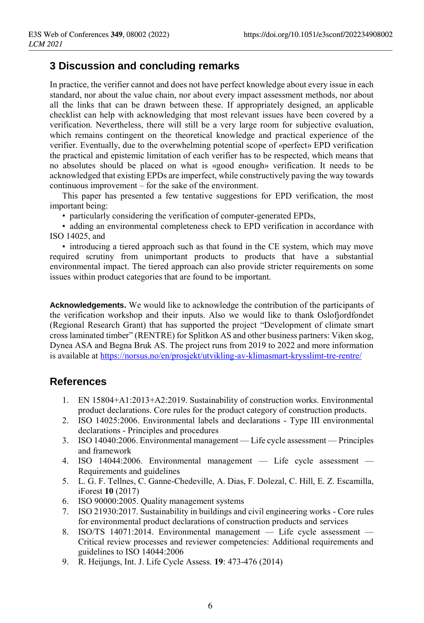# **3 Discussion and concluding remarks**

In practice, the verifier cannot and does not have perfect knowledge about every issue in each standard, nor about the value chain, nor about every impact assessment methods, nor about all the links that can be drawn between these. If appropriately designed, an applicable checklist can help with acknowledging that most relevant issues have been covered by a verification. Nevertheless, there will still be a very large room for subjective evaluation, which remains contingent on the theoretical knowledge and practical experience of the verifier. Eventually, due to the overwhelming potential scope of «perfect» EPD verification the practical and epistemic limitation of each verifier has to be respected, which means that no absolutes should be placed on what is «good enough» verification. It needs to be acknowledged that existing EPDs are imperfect, while constructively paving the way towards continuous improvement – for the sake of the environment.

This paper has presented a few tentative suggestions for EPD verification, the most important being:

• particularly considering the verification of computer-generated EPDs,

• adding an environmental completeness check to EPD verification in accordance with ISO 14025, and

• introducing a tiered approach such as that found in the CE system, which may move required scrutiny from unimportant products to products that have a substantial environmental impact. The tiered approach can also provide stricter requirements on some issues within product categories that are found to be important.

**Acknowledgements.** We would like to acknowledge the contribution of the participants of the verification workshop and their inputs. Also we would like to thank Oslofjordfondet (Regional Research Grant) that has supported the project "Development of climate smart cross laminated timber" (RENTRE) for Splitkon AS and other business partners: Viken skog, Dynea ASA and Begna Bruk AS. The project runs from 2019 to 2022 and more information is available at<https://norsus.no/en/prosjekt/utvikling-av-klimasmart-krysslimt-tre-rentre/>

## **References**

- 1. EN 15804+A1:2013+A2:2019. Sustainability of construction works. Environmental product declarations. Core rules for the product category of construction products.
- 2. ISO 14025:2006. Environmental labels and declarations Type III environmental declarations - Principles and procedures
- 3. ISO 14040:2006. Environmental management Life cycle assessment Principles and framework
- 4. ISO 14044:2006. Environmental management Life cycle assessment Requirements and guidelines
- 5. L. G. F. Tellnes, C. Ganne-Chedeville, A. Dias, F. Dolezal, C. Hill, E. Z. Escamilla, iForest **10** (2017)
- 6. ISO 90000:2005. Quality management systems
- 7. ISO 21930:2017. Sustainability in buildings and civil engineering works Core rules for environmental product declarations of construction products and services
- 8. ISO/TS 14071:2014. Environmental management Life cycle assessment Critical review processes and reviewer competencies: Additional requirements and guidelines to ISO 14044:2006
- 9. R. Heijungs, Int. J. Life Cycle Assess. **19**: 473-476 (2014)